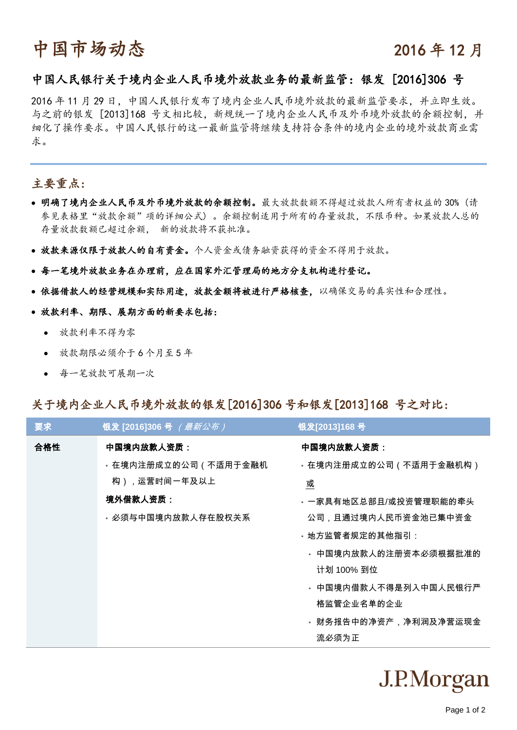# 中国市场动态 2016年12月

# 中国人民银行关于境内企业人民币境外放款业务的最新监管:银发 [2016]306 号

2016 年 11 月 29 日,中国人民银行发布了境内企业人民币境外放款的最新监管要求,并立即生效。 与之前的银发 [2013]168 号文相比较,新规统一了境内企业人民币及外币境外放款的余额控制,并 细化了操作要求。中国人民银行的这一最新监管将继续支持符合条件的境内企业的境外放款商业需 求。

## 主要重点:

- 明确了境内企业人民币及外币境外放款的余额控制。最大放款数额不得超过放款人所有者权益的 30% (请 参见表格里"放款余额"项的详细公式) 。余额控制适用于所有的存量放款,不限币种。如果放款人总的 存量放款数额已超过余额, 新的放款将不获批准。
- 放款来源仅限于放款人的自有资金。个人资金或债务融资获得的资金不得用于放款。
- 每一笔境外放款业务在办理前,应在国家外汇管理局的地方分支机构进行登记。
- 依据借款人的经营规模和实际用途,放款金额将被进行严格核查,以确保交易的真实性和合理性。

#### 放款利率、期限、展期方面的新要求包括:

- 放款利率不得为零
- 放款期限必须介于 6 个月至 5 年
- 每一笔放款可展期一次

### 关于境内企业人民币境外放款的银发[2016]306 号和银发[2013]168 号之对比:

| 要求  | 银发 [2016]306 号 (最新公布) | 银发[2013]168号           |
|-----|-----------------------|------------------------|
| 合格性 | 中国境内放款人资质:            | 中国境内放款人资质:             |
|     | ・在境内注册成立的公司(不适用于金融机   | - 在境内注册成立的公司(不适用于金融机构) |
|     | 构),运营时间一年及以上          | 或                      |
|     | 境外借款人资质:              | ・一家具有地区总部且/或投资管理职能的牵头  |
|     | • 必须与中国境内放款人存在股权关系    | 公司,且通过境内人民币资金池已集中资金    |
|     |                       | • 地方监管者规定的其他指引:        |
|     |                       | ◦ 中国境内放款人的注册资本必须根据批准的  |
|     |                       | 计划 100% 到位             |
|     |                       | ◦ 中国境内借款人不得是列入中国人民银行严  |
|     |                       | 格监管企业名单的企业             |
|     |                       | ・财务报告中的净资产,净利润及净营运现金   |
|     |                       | 流必须为正                  |

# J.P.Morgan